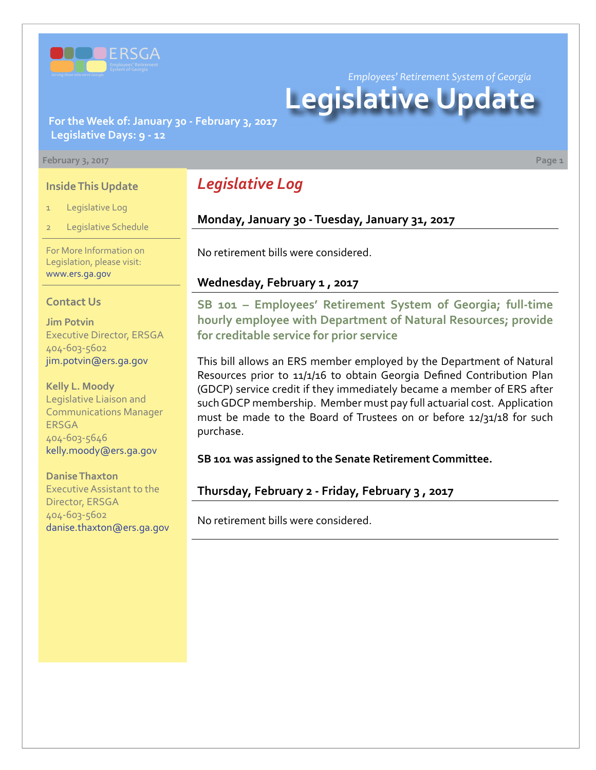

*Employees' Retirement System of Georgia*

# **Legislative Update**

## **For the Week of: January 30 - February 3, 2017 Legislative Days: 9 - 12**

#### **February 3, 2017 Page 1**

### **Inside This Update**

- Legislative Log
- 2 Legislative Schedule

For More Information on Legislation, please visit: [www.ers.ga.gov](http://www.ers.ga.gov/default.aspx)

#### **Contact Us**

**Jim Potvin** Executive Director, ERSGA 404-603-5602 jim.potvin@ers.ga.gov

**Kelly L. Moody** Legislative Liaison and Communications Manager ERSGA 404-603-5646 kelly.moody@ers.ga.gov

**Danise Thaxton**

Executive Assistant to the Director, ERSGA 404-603-5602 danise.thaxton@ers.ga.gov

# *Legislative Log*

# **Monday, January 30 - Tuesday, January 31, 2017**

No retirement bills were considered.

## **Wednesday, February 1 , 2017**

**S[B 101 – E](http://www.legis.ga.gov/Legislation/20172018/163979.pdf)mployees' Retirement System of Georgia; full-time hourly employee with Department of Natural Resources; provide for creditable service for prior service**

This bill allows an ERS member employed by the Department of Natural Resources prior to 11/1/16 to obtain Georgia Defined Contribution Plan (GDCP) service credit if they immediately became a member of ERS after such GDCP membership. Member must pay full actuarial cost. Application must be made to the Board of Trustees on or before 12/31/18 for such purchase.

**SB 101 was assigned to the Senate Retirement Committee.**

**Thursday, February 2 - Friday, February 3 , 2017**

No retirement bills were considered.